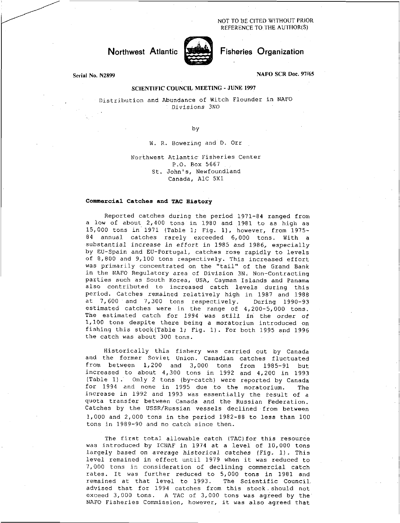NOT TO BE CITED WITHOUT PRIOR REFERENCE TO THE AUTHOR(S)

# Northwest Atlantic



## Fisheries Organization

Serial No. N2899

#### NAFO SCR Doc. 97/65

## SCIENTIFIC COUNCIL MEETING - JUNE 1997

Distribution and Abundance of Witch Flounder in NAFO *Divisions* 3N0

by

W. R. Bowering and D. Orr

## Northwest Atlantic Fisheries Center P.O. Box 5667 St. John's, Newfoundland Canada, A1C 5X1

### **Commercial Catches and TAC History**

Reported catches during the period 1971-84 ranged from a low of about 2,400 tons in 1980 and 1981 to as high as 15,000 tons in 1971 (Table 1; Fig. 1), however, from 1975- 89 annual catches rarely exceeded 6,000 tons. With a substantial increase *in effort* in 1985 and 1986, especially by EU-Spain and EU-Portugal, catches rose rapidly to levels of 8,800 and 9,100 tons respectively. This increased effort was primarily concentrated on the "tail" of the Grand Bank in the NAFO Regulatory area of Division 3N. Non-Contracting parties such as South Korea, USA, Cayman Islands and Panama also contributed to increased catch levels during this period. Catches remained relatively high in 1987 and 1988 at 7,600 and 7,300 tons respectively. During 1990-93 estimated catches were in the range of 4,200-5,000 tons. The estimated catch for 1994 was still in the order of 1,100 tons despite there being a moratorium introduced on fishing this stock(Table 1; Fig. 1). For both 1995 and 1996 the catch was about 300 tons.

Historically this fishery was carried out by Canada and the former Soviet Union. Canadian catches fluctuated from between 1,200 and 3,000 tons from 1985-91 but increased to about 4,300 tons in 1992 and 4,200 in 1993 (Table 1). Only 2 tons (by-catch) were reported by Canada for 1994 and none in 1995 due to the moratorium. The increase in 1992 and 1993 was essentially the result of a quota transfer between Canada and the Russian Federation. Catches by the USSR/Russian vessels declined from between 1,000 and 2,000 tons in the period 1982-88 to less than 100 tons in 1989-90 and no catch since then.

The first total allowable catch (TAC) for this resource was introduced by ICNAF in 1974 at a level of 10,000 tons largely based on average *historical* catches (Fig. 1). This level remained in effect until 1979 when it was reduced to 7,000 tons in consideration of declining commercial catch rates. It was further reduced to 5,000 tons in 1981 and remained at that level to 1993. The Scientific Council advised that for 1994 catches from this stock.should not exceed 3,000 tons. A TAC of 3,000 tons was agreed by the NAFO Fisheries Commission, however, it was also agreed that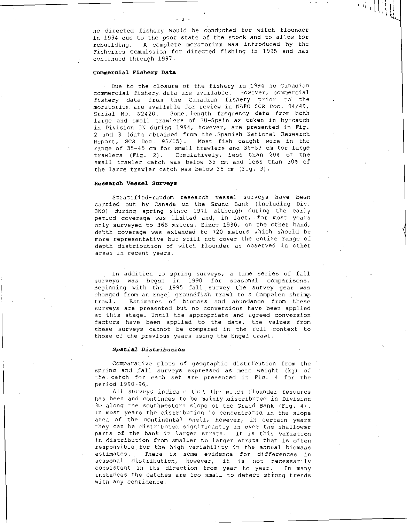no directed fishery would be conducted for witch flounder in 1994 due to the poor state of the stock and to allow for rebuilding. A complete moratorium was introduced by the Fisheries Commission for directed fishing in 1995 and has continued through 1997.

 $\left.\begin{array}{c} \left.\begin{matrix} 1 & 1 \\ 1 & 1 \end{matrix}\right| \left.\begin{matrix} 1 & 1 \\ 1 & 1 \end{matrix}\right|\left.\begin{matrix} 1 & 1 \\ 1 & 1 \end{matrix}\right|\left.\begin{matrix} 1 & 1 \\ 1 & 1 \end{matrix}\right|\left.\begin{matrix} 1 & 1 \\ 1 & 1 \end{matrix}\right|\left.\begin{matrix} 1 & 1 \\ 1 & 1 \end{matrix}\right|\left.\begin{matrix} 1 & 1 \\ 1 & 1 \end{matrix}\right|\left.\begin{matrix} 1 & 1 \\ 1 & 1 \end{matrix}\right|\left.\begin{matrix} 1 & 1 \\ 1 & 1$ 

### **Commercial Fishery** Data

Due to the closure of the fishery in 1994 no Canadian commercial fishery data are available. However, commercial fishery data from the Canadian fishery prior to the moratorium are available for review in NAFO SCR Doc. 94/49, Serial No. N2420. Some length frequency data from both large and small trawlers of EU-Spain as taken in by-catch in Division 3N during 1994, however, are presented in Fig. 2 and 3 (data obtained from the.Spanish National Research Report, SCS Doc. 95/15). Most fish caught were in the range of 35-45 cm for small trawlers and 35-53 cm for large trawlers (Fig. 2). Cumulatively, less than 20% of the small trawler catch was below 35 cm and less than 30% of the large trawler catch was below 35 cm (Fig. 3).

### **Research Vessel Surveys**

Stratified-random research vessel surveys have been carried out by Canada on the Grand Bank (including Div. 3N0) during spring since 1971 although during the early period coverage was limited and, in fact, for most years only surveyed to 366 meters. Since 1990, on the other hand, depth coverage was extended to 720 meters which should be more representative but still not cover the entire range of depth distribution of witch flounder as observed in other areas in recent years.

In addition to spring surveys, a time series of fall surveys was begun in 1990 for seasonal comparisons. Beginning with the 1995 fall survey the survey gear was changed from an Engel groundfish trawl to a Campelen shrimp trawl. Estimates of biomass and abundance from these surveys are presented but no conversions have been applied at this stage. Until the appropriate and agreed conversion factors have been applied to the data, the values from these surveys cannot be compared in the full context to those of the previous years using the Engel trawl.

#### *Spatial Distribution*

Comparative plots of geographic distribution from the spring and fall surveys expressed as mean weight (kg) of the. catch for each set are presented in Fig. 4 for the period 1990-96.

All surveys indicate that the witch flounder resource has been and continues to be mainly distributed in Division 30 along the southwestern slope of the Grand Bank (Fig. 4). In most years the distribution is concentrated in the slope area of the continental shelf, however, in certain years they can be distributed significantly in over the shallower parts of the bank in larger strata. It is this variation in distribution from smaller to larger strata that is often responsible for the high variability in the annual biomass estimates. There is some evidence for differences in seasonal distribution, however, it is not necessarily consistent in its direction from year to year. In many instances the catches are too small to detect strong trends with any confidence.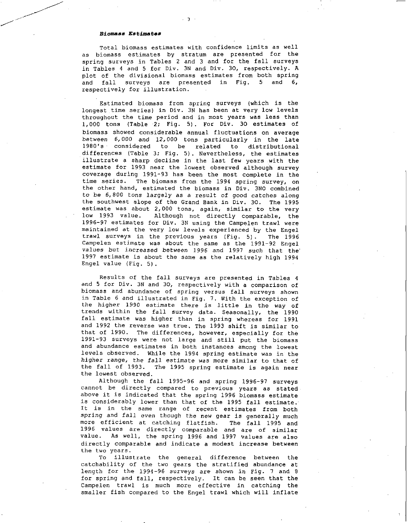#### *Biomass* **Estimates**

Total biomass estimates with confidence limits as well as biomass estimates by stratum are presented for the spring surveys in Tables 2 and 3 and for the fall surveys in Tables 4 and 5 for Div. 3N and Div. 30, respectively. A plot of the divisional biomass estimates from both spring and fall surveys are presented in Fig. 5 and 6, respectively for illustration.

Estimated biomass from spring surveys (which is the longest time series) in Div. 3N has been at very low levels throughout the time period and in most years was less than 1,000 tons (Table 2; Fig. 5). For Div. 30 estimates of biomass showed considerable annual fluctuations on average between 6,000 and 12,000 tons particularly in the late<br>1980's considered to be related to distributional related to distributional differences (Table 3; Fig. 5). Nevertheless, the estimates illustrate a sharp decline in the last few years with the estimate for 1993 near the lowest observed although survey coverage during 1991-93 has been the most complete in the time series. The biomass from the 1994 spring survey, on the other hand, estimated the biomass in Div. 3NO combined to be 6,800 tons largely as a result of good catches along the southwest slope of the Grand Bank in Div. 30. The 1995 estimate was about 2,000 tons, again, similar to the very low 1993 value. Although not directly comparable, the 1996-97 estimates for Div. 3N using the Campelen trawl were maintained at the very low levels experienced by the Engel trawl surveys in the previous years (Fig. 5). The 1996 Campelen estimate was about the same as the 1991-92 Engel *values* but increased between 1996 and 1997 such that the 1997 estimate is about the same as the relatively high 1994 Engel value (Fig. 5).

Results of the fall surveys are presented in Tables 4 and 5 for Div. 3N and 30, respectively with a comparison of biomass and abundance of spring versus fall surveys shown in Table 6 and illustrated in Fig. 7. With the exception of the higher 1990 estimate there is little in the way of trends within the fall survey data. Seasonally, the 1990 fall estimate was higher than in spring whereas for 1991 and 1992 the reverse was true. The 1993 shift is similar to that of 1990. The differences, however, especially for the 1991-93 surveys were not large and still put the biomass and abundance estimates in both instances among the lowest levels observed. While the 1994 spring estimate was in the higher range, the fall estimate was more similar to that of the fall of 1993. The 1995 spring estimate is again near the lowest observed.

Although the fall 1995-96 and spring 1996-97 surveys cannot be directly compared to previous years as stated above it is indicated that the spring 1996 biomass estimate is considerably lower than that of the 1995 fall estimate. It is in the same range of recent estimates from both spring and fall even though the new gear is generally much more efficient at catching flatfish. The fall 1995 and 1996 values are directly comparable and are of similar value. As well, the spring 1996 and 1997 values are also directly comparable and indicate a modest increase between the two years.

To illustrate the general difference between the catchability of the two gears the stratified abundance at length for the 1994-96 *surveys* are shown in Fig. 7 and 8 for spring and fall, respectively. It can be seen that the Campelen trawl is much more effective in catching the smaller fish compared to the Engel trawl which will inflate

3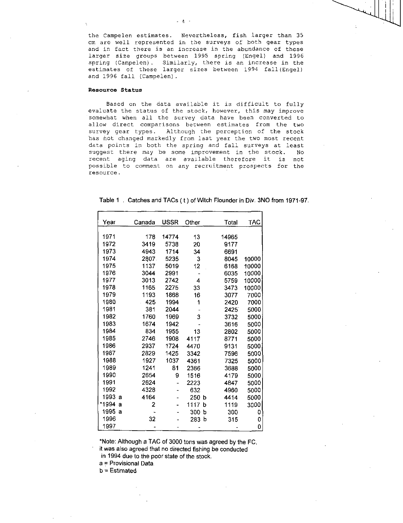the Campelen estimates. Nevertheless, fish larger than 35 cm are well represented in the surveys of both gear types and in fact there is an increase in the abundance of these larger size groups between 1995 spring (Engel) and 1996 spring (Campelen). Similarly, there is an increase in the estimates of these larger sizes between 1994 fall(Engel) and 1996 fall (Campelen).

### Resource Status

Based on the data available it is difficult to fully evaluate the status of the stock, however, this may improve somewhat when all the survey data have been converted to allow direct comparisons between estimates from the two survey gear types. Although the perception of the stock has not changed markedly from last year the two most recent data points in both the spring and fall surveys at least suggest there may be some improvement in the stock. No recent aging data are available therefore it is 'not possible to comment on any recruitment prospects for the resource.

| Year       | Canada | <b>USSR</b> | Other  | Total | <b>TAC</b> |
|------------|--------|-------------|--------|-------|------------|
|            |        |             |        |       |            |
| 1971       | 178    | 14774       | 13     | 14965 |            |
| 1972       | 3419   | 5738        | 20     | 9177  |            |
| 1973       | 4943   | 1714        | 34     | 6691  |            |
| 1974       | 2807.  | 5235        | 3      | 8045  | 10000      |
| 1975       | 1137   | 5019        | 12     | 6168  | 10000      |
| 1976       | 3044   | 2991        |        | 6035  | 10000      |
| 1977       | 3013   | 2742        | 4      | 5759  | 10000      |
| 1978       | 1165   | 2275        | 33     | 3473  | 10000      |
| 1979       | 1193   | 1868        | 16     | 3077  | 7000       |
| 1980       | 425    | 1994        | 1      | 2420  | 7000       |
| 1981       | 381    | 2044        |        | 2425  | 5000       |
| 1982       | 1760   | 1969        | 3      | 3732  | 5000       |
| 1983       | 1674   | 1942        |        | 3616  | 5000       |
| 1984       | 834    | 1955        | 13     | 2802  | 5000       |
| 1985       | 2746   | 1908        | 4117   | 8771  | 5000       |
| 1986       | 2937   | 1724        | 4470   | 9131  | 5000       |
| 1987       | 2829   | 1425        | 3342   | 7596  | 5000       |
| 1988       | 1927   | 1037        | 4361   | 7325  | 5000       |
| 1989       | 1241   | 81          | 2366   | 3688  | 5000       |
| 1990       | 2654   | 9           | 1516   | 4179  | 5000       |
| 1991       | 2624   |             | 2223   | 4847  | 5000       |
| 1992       | 4328   |             | 632    | 4960  | 5000       |
| 1993<br>a  | 4164   |             | 250 b  | 4414  | 5000       |
| *1994<br>a | 2      |             | 1117 b | 1119  | 3000       |
| 1995 a     |        |             | 300 b  | 300   | 0          |
| 1996       | 32     |             | 283 b  | 315   | 0          |
| 1997       |        |             |        |       | 0          |

Table 1 . Catches and TACs ( t ) of Witch Flounder in Div. 3NO from 1971-97.

\*Note: Although a TAC of 3000 tons was agreed by the FC,

it was also agreed that no directed fishing be conducted in 1994 due to the poor state of the stock.

a = Provisional Data

b = Estimated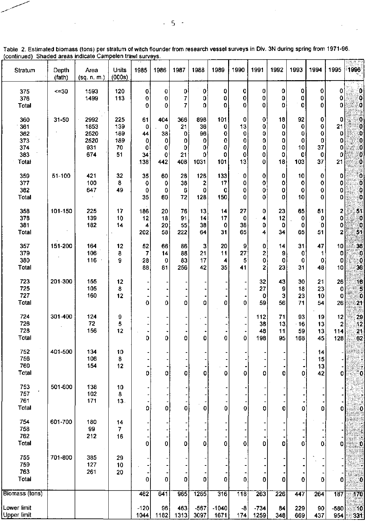| Stratum                                         | Depth<br>(fath) | Area<br>(sq. n. m.)                        | Units<br>(000s)                      | 1985                                 | 1986                                           | 1987                                  | 1988                                   | 1989                                          | 1990                              | 1991                            | 1992                              | 1993                                          | 1994                                        | 1995                              | 1996                                             |
|-------------------------------------------------|-----------------|--------------------------------------------|--------------------------------------|--------------------------------------|------------------------------------------------|---------------------------------------|----------------------------------------|-----------------------------------------------|-----------------------------------|---------------------------------|-----------------------------------|-----------------------------------------------|---------------------------------------------|-----------------------------------|--------------------------------------------------|
| 375<br>376<br><b>Total</b>                      | <=30            | 1593<br>1499                               | 120<br>113                           | 0<br>0<br>0                          | 0<br>0<br>0                                    | $\mathbf{0}$<br>7<br>7                | 0<br>0<br>0                            | 0<br>0<br>0                                   | 0<br>0<br>0                       | 0<br>0<br>0                     | $\mathbf 0$<br>0<br>0             | O<br>0<br>$\pmb{0}$                           | 0<br>0<br>0                                 | 0<br>0<br>0                       | 0<br>0<br>$\ddot{\mathbf{0}}$                    |
| 360<br>361<br>362<br>373<br>374<br>383<br>Total | 31-50           | 2992<br>1853<br>2520<br>2520<br>931<br>674 | 225<br>139<br>189<br>189<br>70<br>51 | 61<br>0<br>44<br>0<br>0<br>34<br>138 | 404<br>0<br>38<br>0<br>0<br>$\mathbf 0$<br>442 | 366<br>21<br>0<br>0<br>0<br>21<br>408 | 898<br>36<br>96<br>0<br>0<br>0<br>1031 | 101<br>0<br>0<br>0<br>0<br>$\mathbf 0$<br>101 | 0<br>13<br>0<br>0<br>0<br>0<br>13 | 0<br>0<br>0<br>0<br>0<br>0<br>0 | 18<br>0<br>0<br>0<br>0<br>0<br>18 | 92<br>O<br>0<br>$\mathbf 0$<br>10<br>0<br>103 | 0<br>0<br>0<br>0<br>37<br>$\mathbf 0$<br>37 | 0<br>21<br>0<br>0<br>0<br>0<br>21 | ĶΟ<br>Q<br>Ő<br>0<br>O<br>0<br>Ö                 |
| 359<br>377<br>382<br>Total                      | 51-100          | 421<br>100<br>647                          | 32<br>8<br>49                        | 35<br>0<br>0<br>35                   | 60<br>0<br>0<br>60                             | 28<br>38<br>6<br>72                   | 126<br>2<br>0<br>128                   | 133<br>17<br>0<br>150                         | 0<br>0<br>0<br>0                  | 0<br>0<br>0<br>0                | 0<br>0<br>0<br>0                  | 10<br>$\mathbf 0$<br>$\mathbf 0$<br>10        | 0<br>0<br>0<br>0                            | 0<br>0<br>0<br>0                  | $\begin{bmatrix} 0 \\ 0 \end{bmatrix}$<br>o<br>O |
| 358<br>378<br>381<br>Total                      | 101-150         | 225<br>139<br>182                          | 17<br>10<br>14                       | 186<br>12<br>4<br>202                | 20<br>18<br>20<br>58                           | 76<br>91<br>55<br>222                 | 13<br>14<br>38<br>64                   | 14<br>17<br>$\mathbf 0$<br>31                 | 27<br>0<br>38<br>65               | 0<br>4<br>0<br>4                | 23<br>12<br>0<br>34               | 65<br>0<br>0<br>65                            | 51<br>0<br>0<br>51                          | 2<br>0<br>0<br>2                  | 51<br>0<br>្តព្រ<br>51                           |
| 357<br>379<br>380<br>Total                      | 151-200         | 164<br>106<br>116                          | 12<br>8<br>9                         | 52<br>$\overline{7}$<br>28<br>88     | 66<br>14<br>0<br>81                            | 86<br>88<br>83<br>256                 | 3<br>21<br>17<br>42                    | 20<br>11<br>4<br>35                           | 9<br>27<br>5<br>41                | 0<br>2<br>0<br>2                | 14<br>9<br>0<br>23                | 31<br>0<br>$\mathbf 0$<br>31                  | 47<br>1<br>$\mathbf{o}$<br>48               | 10<br>0<br>0<br>10                | 36<br>$\mathbf{0}$<br>80<br>36                   |
| 723<br>725<br>727<br>Total                      | 201-300         | 155<br>105<br>160                          | 12<br>8<br>12                        | 0                                    | $\mathbf 0$                                    | 0                                     | Ó                                      | 0                                             | -<br>0                            | 32<br>27<br>0<br>59             | 43<br>9<br>$\mathbf{3}$<br>56     | 30<br>18<br>23<br>71                          | 21<br>23<br>10<br>54                        | 26<br>0<br>0<br>26                | 16<br>Ğ<br>90<br>21                              |
| 724<br>726<br>728<br>Total                      | 301-400         | 124<br>72<br>156                           | 9<br>5<br>12                         | 0                                    | 0                                              | 0                                     | 0                                      | 0                                             | 0                                 | 112<br>38<br>48<br>198          | 71<br>13<br>11<br>95              | 93<br>$-16$<br>59<br>168                      | 19<br>13<br>13<br>45                        | 12<br>2<br>114<br>128             | 29<br>42<br>21<br>62                             |
| 752<br>756<br>760<br><b>Total</b>               | 401-500         | 134<br>106<br>154                          | 10<br>8<br>12                        | 0                                    | 0                                              | 0                                     | 0                                      | ٠<br>O                                        | 0                                 | 0                               | 0                                 | 0                                             | 4 <br>15<br>13<br>42                        | 0                                 | I<br>Ō                                           |
| 753<br>757<br>761<br>Total                      | 501-600         | 138<br>102<br>171                          | 10<br>8<br>13.                       | υ                                    | υ                                              | υ                                     |                                        | υ                                             | U                                 | 0                               | υ                                 | υ                                             | U                                           | U                                 |                                                  |
| 754<br>758<br>762<br>Total                      | 601-700         | 180<br>99<br>212                           | 14<br>7<br>16                        | 0                                    | 0                                              | o                                     | 0                                      | 0                                             | 0                                 | 0                               | 0                                 | 0                                             | 0                                           | ٥I                                | $\mathbf 0$<br>nidi.                             |
| 755<br>759<br>763<br>Total                      | 701-800         | 385<br>127<br>261                          | 29<br>10<br>20                       | 0                                    | 0                                              | 0                                     | ٥                                      | 0                                             | 0                                 | 0                               | 0                                 | 0                                             | 0                                           | 0                                 |                                                  |
| Biomass (tons)                                  |                 |                                            |                                      | 462                                  | 641                                            | 965                                   | 1265                                   | 316                                           | 118                               | 263                             | 226                               | 447                                           | 264                                         | 187                               | 170                                              |
| Lower limit<br>Upper limit                      |                 |                                            |                                      | $-120$<br>1044                       | 96<br>1182                                     | 463<br>1313                           | $-567$<br>3097                         | $-1040$<br>1671                               | -8<br>174                         | $-734$<br>1259                  | 84<br>348                         | 229<br>669                                    | 90<br>437                                   | $-580$<br>954                     | 10<br>331                                        |

Table 2. Estimated biomass (tons) per stratum of witch flounder from research vessel surveys in Div. 3N during spring from 1971-96. continued) Shaded areas indicate Campelen trawl surveys.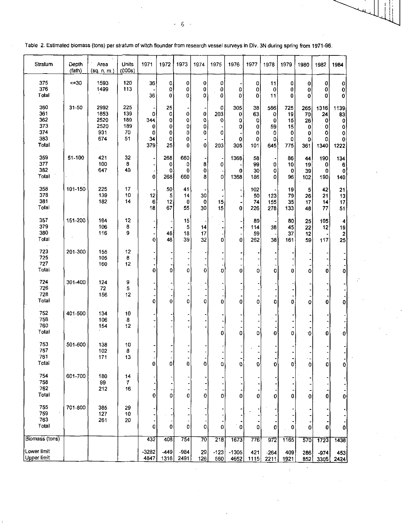| Stratum                                         | Depth<br>(fath) | Area<br>(sq. n. m.)                        | Units<br>(000s)                      | 1971                            | 1972                              | 1973                       | 1974                         | 1975                      | 1976                           | 1977                                | 1978                                 | 1979                                   | 1980                                  | 1982                                   | 1984                                             |
|-------------------------------------------------|-----------------|--------------------------------------------|--------------------------------------|---------------------------------|-----------------------------------|----------------------------|------------------------------|---------------------------|--------------------------------|-------------------------------------|--------------------------------------|----------------------------------------|---------------------------------------|----------------------------------------|--------------------------------------------------|
| 375<br>376<br>Total                             | $\leq 30$       | 1593<br>1499                               | 120<br>113                           | 36<br>36                        | $\mathbf{0}$<br>0<br>0            | 0<br>0<br>0                | 0<br>0<br>0                  | 0<br>0<br>0               | 0<br>0                         | 0<br>0<br>0                         | 11<br>0<br>11                        | 0<br>0<br>0                            | 0<br>0<br>0                           | 0<br>0<br>0                            | 0<br>$\mathbf 0$<br>0                            |
| 360<br>361<br>362<br>373<br>374<br>383<br>Total | $31 - 50$       | 2992<br>1853<br>2520<br>2520<br>931<br>674 | 225<br>139<br>189<br>189<br>70<br>51 | 0<br>344<br>0<br>0<br>34<br>379 | 25<br>0<br>0<br>0<br>0<br>0<br>25 | 0<br>0<br>0<br>0<br>0<br>0 | 0<br>0<br>0<br>0<br>$\bf{0}$ | 0<br>203<br>0<br>0<br>203 | 305<br>0<br>O<br>0<br>0<br>305 | 38<br>63<br>O<br>0<br>0<br>0<br>101 | 586<br>0<br>0<br>59<br>0<br>0<br>645 | 725<br>19<br>15<br>15<br>0<br>0<br>775 | 265<br>70<br>26<br>0<br>0<br>٥<br>361 | 1316<br>24<br>0<br>0<br>0<br>0<br>1340 | 1139<br>83<br>$\mathbf 0$<br>0<br>0<br>0<br>1222 |
| 359<br>377<br>382<br>Total                      | 51-100          | 421<br>100<br>647                          | 32<br>8<br>49                        | $\bf{0}$                        | 268<br>0<br>0<br>268              | 660<br>0<br>0<br>660       | 8<br>0<br>8                  | ÷<br>0<br>0               | 1368<br>0<br>1368              | 58<br>99<br>30<br>186               | 0<br>0<br>0                          | 86<br>10<br>0<br>96                    | 44<br>19<br>39<br>102                 | 190<br>0<br>0<br>190                   | 134<br>6<br>0<br>140                             |
| 358<br>378<br>381<br>Total                      | 101-150         | 225<br>139<br>182                          | 17<br>10<br>14                       | 12<br>6<br>18                   | 50<br>5<br>12<br>67               | 41<br>14<br>0<br>55        | 30<br>0<br>30                | 15<br>15                  | 0                              | 102<br>50<br>74<br>226              | 123<br>155<br>278                    | 19<br>79<br>35<br>133                  | 5<br>26<br>17<br>48                   | 42<br>21<br>14<br>77                   | 21<br>13<br>17<br>51                             |
| 357<br>379<br>380<br>Total                      | 151-200         | 164<br>106<br>116                          | 12<br>8<br>9                         | 0                               | 48<br>48                          | 15<br>5<br>18<br>39        | 14<br>17<br>32               | 0                         | 0                              | 89<br>114<br>59<br>262              | 38<br>38                             | 80<br>45<br>37<br>161                  | 25<br>22<br>12<br>59                  | 105<br>12<br>117                       | 4<br>19<br>$\overline{\mathbf{2}}$<br>25         |
| 723<br>725<br>727<br>Total                      | 201-300         | 155<br>105<br>160                          | 12<br>8<br>12                        | $\mathbf 0$                     | 0                                 | 0                          | 0                            | 0                         | 0                              | 0                                   | 0                                    | 0                                      | 0                                     | 0                                      | $\mathbf 0$                                      |
| 724<br>726<br>728<br>Total                      | 301-400         | 124<br>72<br>156                           | 9<br>5<br>12                         | 0                               | 0                                 | 0                          | 0                            | 0                         | 0                              | 0                                   | 0                                    | 0                                      | 0                                     | 0                                      | 0                                                |
| 752<br>756<br>760<br>Total                      | 401-500         | 134<br>106<br>154                          | 10<br>8<br>12                        |                                 |                                   |                            |                              | 0                         | 0                              | 0                                   | 0                                    | 0                                      | 0                                     | 0                                      | 0                                                |
| 753<br>757<br>761<br>Total                      | 501-600         | 138<br>102<br>171                          | 10<br>8<br>13                        | 0                               | $\overline{\phantom{a}}$<br> 0    | ۰<br>$\bf{0}$              | $\mathbf{0}$                 | 0                         | $\mathbf{o}$                   | $\mathbf{0}$                        | 0                                    | ٠<br>$\mathbf{0}$                      | $\ddot{\phantom{1}}$<br>0             | 0                                      | $\mathbf{0}$                                     |
| 754<br>758<br>762<br>Total                      | 601-700         | 180<br>99<br>212                           | 14<br>7<br>16                        | 0                               | $\bf{0}$                          | 0                          | 0                            | 0                         | 0                              | 0                                   | 0                                    | 0                                      | 0                                     | 0                                      | 0                                                |
| 755<br>759<br>763<br>Total                      | 701-800         | 385<br>127<br>261                          | 29<br>10<br>20                       | 0                               | 0                                 | 0                          | 0                            | 0                         | 0                              | 0                                   | $\mathbf{0}$                         | 0                                      | 0                                     | 0                                      | 0                                                |
| Biomass (tons)                                  |                 |                                            |                                      | 432                             | 408                               | 754                        | 70                           | 218                       | 1673                           | 776                                 | $\overline{972}$                     | 1165                                   | 570                                   | 1723                                   | 1438                                             |
| Lower limit<br><b>Upper limit</b>               |                 |                                            |                                      | $-3282$<br>4847                 | $-449$<br>1316                    | $-984$<br>2491             | 29<br>126                    | $-123$<br>560             | $-1305$<br>4652                | 421<br>1115                         | $-264$<br>2211                       | 409<br>1921                            | 286<br>852                            | $-974$<br>3306                         | 453<br>2424                                      |

 $\frac{1}{4}$ 

Table 2. Estimated biomass (tons) per stratum of witch flounder from research vessel surveys in Div. 3N during spring from 1971-96.

- 6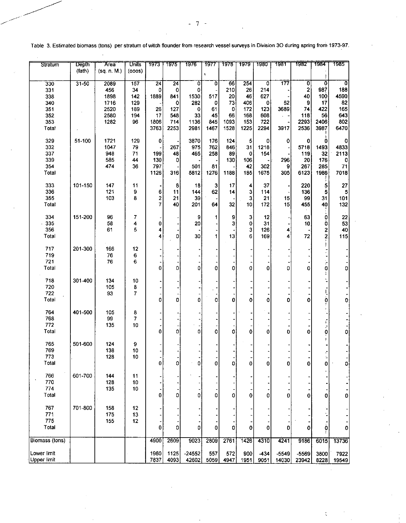| Stratum            | <b>Depth</b> | <b>Area</b> | <b>Units</b>        | 1973            | 7975            | 7976     | 1977                 | 1978 | 1979   | 1980                      | 7981             | 1982           | 1984                      | 7985         |
|--------------------|--------------|-------------|---------------------|-----------------|-----------------|----------|----------------------|------|--------|---------------------------|------------------|----------------|---------------------------|--------------|
|                    | (fath)       | (sq. n. M.) | (000s)              |                 |                 |          | $\tilde{\mathbf{v}}$ |      |        |                           |                  |                |                           |              |
| $\overline{330}$   | $31-50$      | 2089        | $\overline{157}$    | $\overline{24}$ | $\overline{24}$ | Ō        | ō                    | 66   | 254    | $\overline{\mathfrak{o}}$ | $\overline{177}$ | $\overline{0}$ | $\overline{\mathfrak{o}}$ | O            |
| 331                |              | 456         | 34                  | 0               | $\mathbf 0$     | 0        |                      | 210  | 26     | 214                       |                  | $\mathbf 2$    | 987                       | 188          |
| 338                |              | 1898        | 142                 | 1889            | 841             | 1530     | 517                  | 20   | 46     | 627                       |                  | 40             | 100                       | 4590         |
| 340                |              | 1716        | 129                 |                 | 0               | 282      | 0                    | 73   | 406    | 0                         | 52               | 9              | 17                        | 82           |
| 351                |              | 2520        | 189                 | 26              | 127             | 0        | 61                   | 0    | 172    | 123                       | 3689             | 74             | 422                       | 165          |
| 352                |              | 2580        | 194                 | 17              | 548             | 33       | 45                   | 66   | 168    | 608                       | $\alpha = -1$    | 118            | 56                        | 643          |
| 353                |              | 1282        | 96                  | 1806            | 714             | 1136     | 845                  | 1093 | 153    | 722                       |                  | 2293           | 2406                      | 802          |
| Total              |              |             |                     | 3763            | 2253            | 2981     | 1467                 | 1528 | 1225   | 2294                      | 3917             | 2536           | 3987                      | 6470         |
| 329                | 51-100       | 1721        | 129                 | $\pmb{0}$       |                 | 3870     | 176                  | 124  | 5      | 0                         | 0                | 0              | 0                         | o            |
| 332                |              | 1047        | 79                  |                 | 267             | 975      | 762                  | 846  | 31     | 1218                      |                  | 5718           | 1493                      | 4833         |
| 337                |              | 948         | 71                  | 199             | 48              | 465      | 258                  | 89   | 0      | 154                       |                  | 119            | 32                        | 2113         |
| 339                |              | 585         | 44                  | 130             | 0               |          |                      | 130  | 106    |                           | 296              | 20             | 176                       | 0            |
| 354                |              | 474         | 36                  | 797             |                 | 501      | 81                   |      | 42     | 302                       | 9                | 267            | 285                       | 71           |
| Total              |              |             |                     | 1126            | 316             | 5812     | 1276                 | 1188 | 185    | 1675                      | 305              | 6123           | 1986                      | 7018         |
| 333                | 101-150      | 147         | 11                  |                 | 8               | 18       | 3                    | 17   | 4      | 37                        |                  | 220            | 5                         | 27           |
| 336                |              | 121         | 9                   | 6               | 11              | 144      | 62                   | 14   | 3      | 114                       |                  | 136            | Ś                         | 5            |
| 355                |              | 103         | 8                   |                 | 21              | 39       |                      |      | 3      | 21                        | 15               | 99             | 31                        | 101          |
| Total              |              |             |                     | $\frac{2}{7}$   | 40              | 201      | 64                   | 32   | 10     | 172                       | 15               | 455            | 40                        | 132          |
|                    |              |             |                     |                 |                 |          |                      |      |        |                           |                  |                |                           |              |
| 334<br>$-335$      | 151-200      | 96<br>58    | 7                   |                 |                 | 9<br>20  | 1                    | 9    | 3      | 12<br>31                  |                  | 63             | 0                         | 22<br>53     |
| 356                |              | 61          | 4<br>5              | 0               |                 |          |                      | 3    | 0<br>3 |                           |                  | 10             | 0                         |              |
|                    |              |             |                     | 4<br>4          | 0               | 30       | 1                    | 13   | 6      | 126                       | 4<br>4           | 72             | $\frac{2}{2}$             | 40<br>115    |
| Total              |              |             |                     |                 |                 |          |                      |      |        | 169                       |                  |                |                           |              |
| 717                | 201-300      | 166         | 12                  |                 |                 |          |                      |      |        |                           |                  |                |                           |              |
| 719                |              | 76          | 6                   |                 |                 |          |                      |      |        |                           |                  |                |                           |              |
| 721                |              | 76          | 6                   |                 |                 |          |                      |      |        |                           |                  |                |                           |              |
| Total              |              |             |                     | 0               | 0               | 0        | 0                    | 0    | 0      | 0                         | 0                | 0              | ۰.<br>0                   | 0            |
| 718                | 301-400      | 134         | 10                  |                 |                 |          |                      |      |        |                           |                  |                |                           |              |
| 720                |              | 105         | 8                   |                 |                 |          |                      |      |        |                           |                  |                |                           |              |
| 722                |              | 93          | 7.                  |                 |                 |          |                      |      |        |                           |                  |                |                           |              |
| Total              |              |             |                     | 0               | 0               | 0        | 0                    | 0    | 0      | 0                         | 0                | 0              | ò                         | 0            |
| 764                | 401-500      |             |                     |                 |                 |          |                      |      |        |                           |                  |                |                           |              |
| 768                |              | 105<br>99   | 8<br>$\overline{7}$ |                 |                 |          |                      |      |        |                           |                  |                |                           |              |
| 772                |              | 135         | 10                  |                 |                 |          |                      |      |        |                           |                  |                | Ē                         |              |
| Total              |              |             |                     | 0               | o               | 0        | $\Omega$             | 0    | 0      | 0                         | 0                | 0              | F<br>Ò                    | Ō            |
|                    |              |             |                     |                 |                 |          |                      |      |        |                           |                  |                |                           |              |
| 765                | 501-600      | 124         | 9                   |                 |                 |          |                      |      |        |                           |                  |                |                           |              |
| 769                |              | 138         | 10                  |                 |                 |          |                      |      |        |                           |                  |                |                           |              |
| 773                |              | 128         | 10                  |                 |                 |          |                      |      |        |                           |                  |                |                           |              |
| Total              |              |             |                     | 0               | 0               | 0        | 0                    | 0    | 0      | 0                         | 0                | 0              | 0                         | 0i           |
| 766                | 601-700      | 144         | 11                  |                 |                 |          |                      |      |        |                           |                  |                |                           |              |
| 770                |              | 128         | 10                  |                 |                 |          |                      |      |        |                           |                  |                |                           |              |
| 774                |              | 135         | 10                  |                 |                 |          |                      |      |        |                           |                  |                |                           |              |
| Total              |              |             |                     | 0               | Ó               | 0        | 0                    | 0    | 0      | 0                         | 0                | 0              | 0                         | $\mathbf{0}$ |
| 767                | 701-800      | 158         | 12                  |                 |                 |          |                      |      |        |                           |                  |                |                           |              |
| 771                |              | 175         | 13                  |                 |                 |          |                      |      |        |                           |                  |                |                           |              |
| 775                |              | 155         | 12                  |                 |                 |          |                      |      |        |                           |                  |                |                           |              |
| Total              |              |             |                     | 0               | 0               | ٥        | o                    | 0    | 0      | 0                         | 0                | 0              | 0                         | 0            |
| Biomass (tons)     |              |             |                     | 4900            | 2609            | 9023     | 2809                 | 2761 | 1426   | 4310                      | 4241             | 9186           | 6015                      | 13736        |
|                    |              |             |                     |                 |                 |          |                      |      |        |                           |                  |                |                           |              |
| Lower limit        |              |             |                     | 1960            | 1125            | $-24552$ | 557                  | 572  | 900    | $-434$                    | $-5549$          | $-5569$        | 3800                      | 7922         |
| <b>Upper limit</b> |              |             |                     | 7837            | 4093            | 42602    | 5059                 | 4947 | 1951   | 9051                      | 14030            | 23942          | 8228                      | 19549        |

 $\mathcal{L}$ 

Table 3. Estimated biomass (tons) per stratum of witch flounder from research vessel surveys in Division 3O during spring from 1973-97.

 $7 -$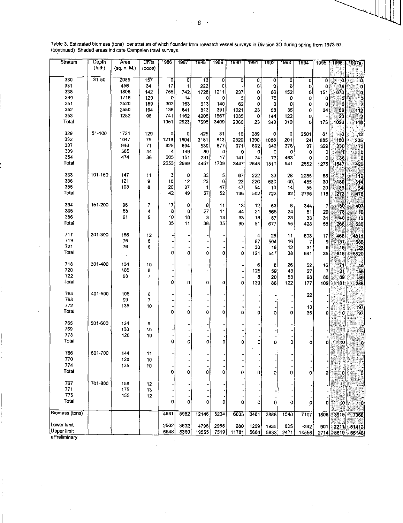| Stratum        | Depth     | Area        | Units          | 1986         | 7987        | 1988  | 1989 | 1990  | 1991 | 1992        | 1993 | 1994         | 1995    | -1996        | <u> 1997a </u>                                 |
|----------------|-----------|-------------|----------------|--------------|-------------|-------|------|-------|------|-------------|------|--------------|---------|--------------|------------------------------------------------|
|                | (fath)    | (sq. n. M.) | $($ coos $)$   |              |             |       |      |       |      |             |      |              |         |              |                                                |
| 330            | $31 - 50$ | 2089        | 157            | $\mathbf{0}$ | 0           | 13    | 0    | 0     | 0    | o           | 0    | $\mathbf{0}$ | 0       | 0            | Ø                                              |
| 331            |           | 456         | 34             | 17           | 1           | 222   | 0    |       | 0    | o           | O    | 0            | O       | 74           | ö                                              |
| 338            |           | 1898        | 142            | 755          | 742         | 1728  | 1211 | 237   | 0    | 66          | 152  | 0            | 151     | 870          | o                                              |
| 340            |           | 1716        | 129            | 0            | 14          | 0     | 0    | 5     | 0    | 75          | 0    | 0            | o       | О            | ¢                                              |
| 351            |           | 2520        | 189            | 303          | 163         | 613   | 140  | 62    | 0    | 0           | 0    | 0            | 0       | Ó            | 2                                              |
| 352            |           | 2580        | 194            | 136          | 841         | 813   | 391  | 1021  | 23   | 58          | 35   | 0            | 24      | 59           |                                                |
| 353            |           | 1282        | 96             | 741          | 1162        | 4205  | 1667 | 1035  | 0    | 144         | 122  | 0            |         | 23           |                                                |
| Total          |           |             |                | 1951         | 2923        | 7595  | 3409 | 2360  | 23   | 343         | 310  | 0            | 175     | 1026         | $\begin{array}{c} 112 \\ 2 \\ 116 \end{array}$ |
| 329            | 51-100    | 1721        | 129            | 0            | 0           | 425   | 31   | 16    | 289  | $\mathbf 0$ | 0    | 2501         | 61      | ୍ତ୍ର         | $-12$                                          |
| 332            |           | 1047        | 79             | 1218         | 1804        | 3181  | 813  | 2320  | 1390 | 1088        | 201  | 24           | 885     | 1180         | 235                                            |
| 337            |           | 948         | 71             | 825          | 894         | 539   | 877  | 971   | 892  | 349         | 278  | 27           | 329     | 330          | 173                                            |
| 339            |           | 585         | 44             | 4            | 149         | 80    | 0    | 0     | 0    | 0           | 0    | 0            | $\circ$ |              | O                                              |
| 354            |           | 474         | 36             | 605          | 151         | 231   | 17   | 141   | 74   | 73          | 463  | 0            | o       | 36           | ಂ                                              |
| Total          |           |             |                | 2653         | 2999        | 4457  | 1739 | 3447  | 2645 | 1511        | 941  | 2552         | 1275    | 1547         | 420                                            |
| 333            | 101-150   | 147         | 11             | з            | 0           | 33    | 5    | 67    | 222  | 33          | 28   | 2285         | 68      | Ħ            | 110                                            |
| 336            |           | 121         | 9              | 18           | 12          | 23    | 0    | 22    | 226  | 680         | 40   | 455          | 30      | 180          | 314                                            |
| 355            |           | 103         | 8              | 20           | 37          | 1     | 47   | 47    | 54   | 10          | 14   | 55           | 20      | 86           | .54                                            |
| Total          |           |             |                | 42           | 49          | 57    | 52   | 136   | 502  | 722         | 82   | 2796         | 118     | 273          | 478                                            |
| 334            | 151-200   | 96          | 7              | 17           | 0           | 6     | 11   | 13    | 12   | 53          | 8    |              |         |              | 407                                            |
| 335            |           | 58          | 4              | 8            | 0           | 27    | 11   | 44    | 21   | 566         | 24   | 344<br>51    | 7       | 150<br>78    |                                                |
| 356            |           | 61          | 5              | 10           | 10          | 3     | 13   | 33    | 18   | 57          | 23   |              | 20      |              | 116                                            |
| Total          |           |             |                | 35           | 11          | 36    | 35   | 90    | 51   | 677         | 55   | 33           | 31      | '40          | -13                                            |
|                |           |             |                |              |             |       |      |       |      |             |      | 428          | 58      | 268          | 536                                            |
| 717            | 201-300   | 166         | 12             |              |             |       |      |       | 4    | 26          | 11   | 603          | 17      | 465          | 4811                                           |
| 719            |           | 76          | 6              |              |             |       |      |       | 87   | 504         | 16   | 7            | 9       | 137          | 686                                            |
| 721            |           | 76          | 6              |              |             |       |      |       | 30   | 18          | 12   | 31           | 9       | - 16         | 23                                             |
| Total          |           |             |                | 0            | 0           | 0     | 0    | 0     | 121  | 547         | 38   | 641          | 35      | 618          | 5520                                           |
| 718            | 301-400   | 134         | 10             |              |             |       |      |       | 6    | 8           | 26   | 52           | 16      | 71           | 44                                             |
| 720            |           | 105         | 8              |              |             |       |      |       | 125  | 59          | 43   | 27           | 7       | 21           | 155                                            |
| 722            |           | 93          | $\overline{7}$ |              |             |       |      |       | 8    | 20          | 53   | 98           | 86      | 89           | 89                                             |
| Total          |           |             |                | 0            | 0           | 0     | 0    | 0     | 139  | 88          | 122  | 177          | 109     | 181          | 288                                            |
| 764            | 401-500   | 105         | 8              |              |             |       |      |       |      |             |      |              |         |              |                                                |
| 768            |           | 99          | 7              |              |             |       |      |       |      |             |      | 22           |         |              |                                                |
| 772            |           | 135         | 10             |              |             |       |      |       |      |             |      |              |         |              |                                                |
| Total          |           |             |                | O            | $\mathbf 0$ | O     | 0    | 0     | 0    | o           | Ō    | 13<br>35     | 0       | ٥            | 97<br>97                                       |
|                |           |             |                |              |             |       |      |       |      |             |      |              |         |              |                                                |
| 765<br>769     | 501-600   | 124<br>138  | 9              |              |             |       |      |       |      |             |      |              |         |              |                                                |
| 773            |           | 128         | 10<br>10       |              |             |       |      |       |      |             |      |              |         |              |                                                |
| Totai          |           |             |                | 0            | 0           | 0     | 0    |       |      |             |      |              |         |              |                                                |
|                |           |             |                |              |             |       |      | 0     | 0    | Ō           | oj   | 0            | 0       | O            | ô                                              |
| 766            | 601-700   | 144         | 11             |              |             |       |      |       |      |             |      |              |         |              |                                                |
| 770            |           | 128         | 10             |              |             |       |      |       |      |             |      |              |         |              | fi                                             |
| 774            |           | 135         | 10             |              |             |       |      |       |      |             |      |              |         |              |                                                |
| Total          |           |             |                | 0            | 0           | 0     | 0    | 0     | 0    | 0           | 0    | 0            | 0       | ٥            | ွဲ                                             |
| 767            | 701-800   | 158         | 12             |              |             |       |      |       |      |             |      |              |         |              |                                                |
| 771            |           | 175         | 13             |              |             |       |      |       |      |             |      |              |         |              |                                                |
| 775            |           | 155         | 12             |              |             |       |      |       |      |             |      |              |         |              |                                                |
| Total          |           |             |                | 0            | 0           | 0     | 0    | ٥     | 0    | 0           | ٥I   | 0            | ٥       | $\mathbf{0}$ | ö                                              |
| Biomass (tons) |           |             |                | 4681         | 5982        | 12146 | 5234 |       |      |             |      |              |         |              |                                                |
|                |           |             |                |              |             |       |      | 6033  | 3481 | 3888        | 1548 | 7107         | 1808    | 3915         | 7368                                           |
| Lower limit    |           |             |                | 2502         | 3632        | 4795  | 2955 | 280   | 1299 | 1936        | 625  | $-342$       | 901     | 2211         | $-51412$                                       |
| Upper limit    |           |             |                | 6848         | 8360        | 19555 | 7519 | 11781 | 5664 | 5833        | 2471 | 14556        | 2714    | 5619         | 66148                                          |
| aPreliminary   |           |             |                |              |             |       |      |       |      |             |      |              |         |              |                                                |

Table 3. Estimated biomass (tons) per stratum of witch flounder from research vessel surveys in Division 3O during spring from 1973-97.<br>(continued) Shaded areas indicate Campelen trawl surveys.

 $\overline{8}$ L.  $\overline{\phantom{a}}$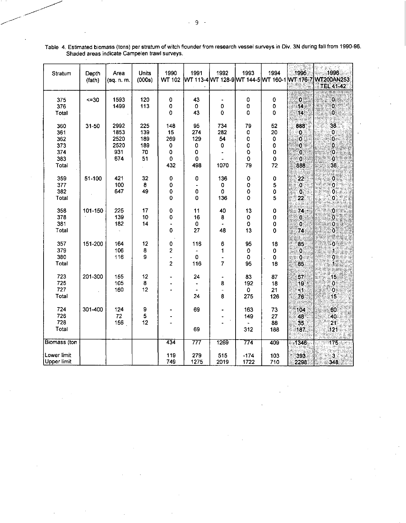| Stratum                                           | Depth<br>(fath) | Area<br>(sq. n. m.                         | Units<br>(000s)                      | 1990<br><b>WT 102</b>                                                | 1991<br>WT 113-4 WT 128-9 WT 144-5 WT 160-1 WT 176-7 | 1992                                                           | 1993                                        | 1994                               | 1995                                             | 1996<br><b>WT200AN253</b><br>TEL 41-42      |
|---------------------------------------------------|-----------------|--------------------------------------------|--------------------------------------|----------------------------------------------------------------------|------------------------------------------------------|----------------------------------------------------------------|---------------------------------------------|------------------------------------|--------------------------------------------------|---------------------------------------------|
| 375<br>376<br>Total                               | $5 - 30$        | 1593<br>1499                               | 120<br>113                           | 0<br>0<br>0                                                          | 43<br>0<br>43                                        | 0<br>0                                                         | ٥<br>0<br>0                                 | 0<br>0<br>0                        | $\overline{\mathbf{0}}$<br>$\overline{14}$<br>14 | $\mathbf{0}$<br>$\mathbf{0}$<br>O           |
| 360<br>361<br>362<br>373<br>374<br>383<br>Total   | $31 - 50$       | 2992<br>1853<br>2520<br>2520<br>931<br>674 | 225<br>139<br>189<br>189<br>70<br>51 | 148<br>15<br>269<br>$\pmb{0}$<br>$\mathbf 0$<br>$\mathbf 0$<br>432   | 95<br>274<br>129<br>0<br>0<br>0<br>498               | 734<br>282<br>54<br>0<br>1070                                  | 79<br>0<br>0<br>0<br>O<br>$\mathbf 0$<br>79 | 52<br>20<br>0<br>0<br>0<br>0<br>72 | 888<br>0<br>ö<br>0<br>Ö<br>$\overline{0}$<br>888 | 38<br>0<br>O<br>0<br>O<br>Ö<br>38           |
| 359<br>377<br>382<br>Total                        | 51-100          | 421<br>100<br>647                          | 32<br>8<br>49                        | $\pmb{0}$<br>0<br>0<br>0                                             | 0<br>0<br>0                                          | 136<br>0<br>0<br>136                                           | $\mathbf 0$<br>0<br>0<br>0                  | 0<br>5<br>0<br>5                   | 22<br>O<br>ö<br>22                               | 0<br>0<br>$\mathbf{o}$<br>Ö                 |
| 358<br>378<br>381<br>Total                        | 101-150         | 225<br>139<br>182                          | 17<br>10<br>14                       | 0<br>0<br>-<br>0                                                     | 11<br>16<br>0<br>27                                  | 40<br>8<br>48                                                  | 13<br>0<br>$\mathbf 0$<br>13                | 0<br>0<br>0<br>0                   | 74<br>$\mathbf{0}$<br>Ö<br>74                    | 0<br>O<br>0<br>ö                            |
| 357<br>379<br>380<br>Total                        | 151-200         | 164<br>106<br>116                          | 12<br>8<br>9                         | $\pmb{0}$<br>$\overline{\mathbf{c}}$<br>۰<br>$\overline{\mathbf{c}}$ | 116<br>0<br>116                                      | 6<br>1<br>$\overline{\phantom{a}}$<br>$\overline{7}$           | 95<br>$\pmb{0}$<br>0<br>95                  | 18<br>0<br>0<br>18                 | 85<br>0<br>$\mathbf 0$<br>85                     | $\mathbf 0$<br>1<br>$\overline{\mathbf{0}}$ |
| 723<br>725<br>727<br>Total                        | 201-300         | 155<br>105<br>160                          | 12<br>8<br>12                        |                                                                      | 24<br>24                                             | $\overline{\phantom{0}}$<br>8<br>$\overline{\phantom{0}}$<br>8 | 83<br>192<br>0<br>275                       | 87<br>18<br>21<br>126              | 57<br>19<br>$\leq 1$<br>76                       | 15<br>Ö<br>$\overline{\mathbf{0}}$<br>15    |
| 724<br>726<br>728<br>Total                        | 301-400         | 124<br>72<br>156                           | 9<br>5<br>12                         |                                                                      | 69<br>69                                             |                                                                | 163<br>149<br>312                           | 73<br>27<br>88<br>188              | 104<br>48<br>35<br>187                           | 60<br>40<br>21<br>121                       |
| <b>Biomass</b> (ton<br>Lower limit<br>Upper limit |                 |                                            |                                      | 434<br>119<br>749                                                    | 777<br>279<br>1275                                   | 1269<br>515<br>2019                                            | 774<br>-174<br>1722                         | 409<br>103<br>710                  | 1346<br>393<br>2298                              | 175<br>з.<br>348                            |

Table 4. Estimated biomass (tons) per stratum of witch flounder from research vessel surveys in Div. 3N during fall from 1990-96. Shaded areas indicate Campelen trawl surveys.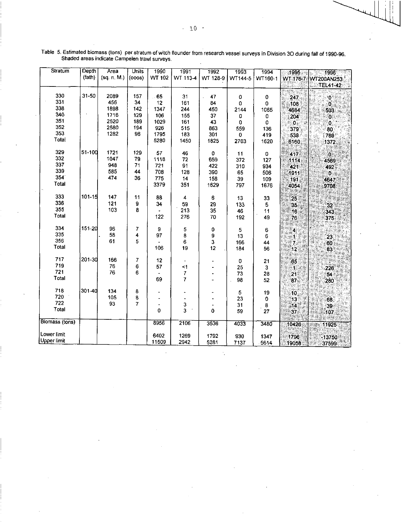| Stratum        | Depth  | Area        | <b>Units</b> | 1990   | 1991             | 1992     | 1993     | 1994        | 1995                    | $\overline{\phantom{1}}$ 1996 |
|----------------|--------|-------------|--------------|--------|------------------|----------|----------|-------------|-------------------------|-------------------------------|
|                | (fath) | (sq. n. M.) | (000s)       | WT 102 | WT 113-4         | WT 128-9 | WT144-5  | WT160-1     | WT 176-7                | WT200AN253                    |
|                |        |             |              |        |                  |          |          |             |                         | <b>TEL41-42</b>               |
|                |        |             |              |        |                  |          |          |             |                         |                               |
| 330            | 31-50  | 2089        | 157          | .65    | 31               | 47       | 0        | 0           | 247                     | Ö                             |
| 331            |        | 456         | 34           | 12     | 161              | 84       | 0        | 0           | 108                     | Ð                             |
| 338            |        | 1898        | 142          | 1347   | 244              | 450      | 2144     | 1065        | 4684                    | 503                           |
| 340            |        | 1716        | 129          | 106    | 155              | 37       | 0        | 0           | 204                     | Ō.                            |
| 351            |        | 2520        | 189          | 1029   | 161              | 43       | $\bf{0}$ | $\mathbf 0$ | $\mathbf{0}$            | Ö.                            |
| 352            |        | 2580        | 194          | 926    | 515              | 863      | 559      | 136         | 379                     | 80                            |
| 353            |        | 1282        | 96           | 1795   | 183              | 301      | 0        | 419         | 538                     | 789                           |
| Total          |        |             |              | 5280   | 1450             | 1825     | 2703     | 1620        | 6160                    | 1372                          |
|                |        |             |              |        |                  |          |          |             |                         |                               |
| 329            | 51-100 | 1721        | 129          | 57     | 46               | 0        | 11       | 0           | 417                     | ÏÖ.                           |
| 332            |        | 1047        | 79           | 1118   | 72               | 659      | 372      | 127         | 1114                    | 4569                          |
| 337            |        | 948         | 71           | 721    | 91               | 422      | 310      | 934         | 421                     | 492                           |
| 339            |        | 585         | 44           | 708    | 128              | 390      | 65       | 506         | 1911                    | D.                            |
| 354            |        | 474         | 36           | 775    | 14               | 158      | 39       | 109         | 191                     | 4647                          |
| <b>Total</b>   |        |             |              | 3379   | 351              | 1629     | 797      | 1676        | 4054                    | 9708                          |
|                |        |             |              |        |                  |          |          |             |                         |                               |
| 333            | 101-15 | 147         | 11           | 88     | 4                | 6        | 13       | 33          |                         |                               |
| 336            |        | 121         | 9            | 34     | 59               | 29       | 133      | 5           | 25                      |                               |
| 355            |        | 103         | 8            |        | 213              | 35       |          |             | 35                      | 32                            |
| Total          |        |             |              | 122    | 276              |          | 46       | 11          | 16                      | 343                           |
|                |        |             |              |        |                  | 70       | 192      | 49          | 76                      | 375                           |
| 334            | 151-20 | 96          | 7            | 9      |                  |          |          |             |                         |                               |
| 335            |        | 58          | 4            | 97     | 5<br>8           | 0        | 5        | 6           | $\overline{\mathbf{4}}$ |                               |
| 356            |        | 61          | 5            |        | $\boldsymbol{6}$ | 9<br>3   | 13       | 6           | 1                       | 23                            |
| <b>Total</b>   |        |             |              | 106    | 19               | 12       | 166      | 44          | 7.                      | 60                            |
|                |        |             |              |        |                  |          | 184      | 56          | $\overline{12}$         | 83                            |
| 717            | 201-30 | 166         | 7            | 12     |                  |          |          |             |                         |                               |
| 719            |        | 76          | 6            | 57     | <1               |          | 0        | 21          | 65                      |                               |
| 721            |        | 76          | 6            |        | 7                |          | 25       | 3           | :11                     | 226                           |
| Total          |        |             |              | 69     | $\overline{7}$   |          | 73       | 28          | 21                      | 54                            |
|                |        |             |              |        |                  |          | 98       | 52          | 87.                     | 280                           |
| 718            | 301-40 | 134         | 8            |        |                  |          |          |             |                         |                               |
| 720            |        | 105         | 8            |        |                  |          | 5        | 19          | 10                      |                               |
| 722            |        | 93          | 7            |        |                  |          | 23       | 0           | 13                      | 68                            |
| Total          |        |             |              | 0      | 3<br>3           | 0        | 31       | 8           | 14                      | 39                            |
|                |        |             |              |        |                  |          | 59       | 27          | 37                      | 107                           |
| Biomass (tons) |        |             |              | 8956   | 2106             | 3536     |          |             |                         |                               |
|                |        |             |              |        |                  |          | 4033     | 3480        | 10426                   | 11925                         |
| Lower limit    |        |             |              | 6402   | 1269             |          |          |             |                         |                               |
| Upper limit    |        |             |              | 11509  |                  | 1792     | 930      | 1347        | 1796                    | $-13750$                      |
|                |        |             |              |        | 2942             | 5281     | 7137     | 5614        | 19058                   | 37599                         |

Table 5. Estimated biomass (tons) per stratum of witch flounder from research vessel surveys in Division 3O during fall of 1990-96.<br>Shaded areas indicate Campelen trawl surveys.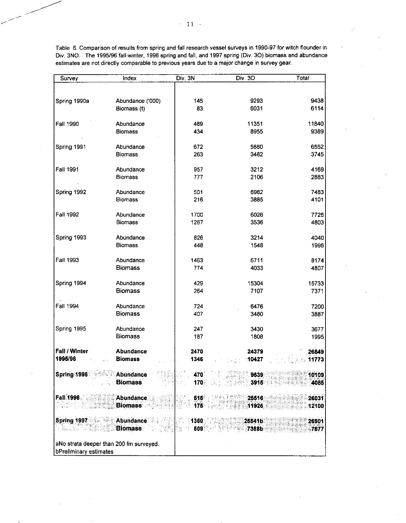| Survey                                  | Index                       | Div. 3N    | Div. 30                                            | Total        |
|-----------------------------------------|-----------------------------|------------|----------------------------------------------------|--------------|
|                                         |                             |            |                                                    |              |
| Spring 1990a                            | Abundance ('000)            | 145        | 9293                                               | 9438         |
|                                         | Biomass (t)                 | 83         | 6031                                               | 6114         |
|                                         |                             |            |                                                    |              |
| Fall 1990                               | Abundance                   | 489        | 11351                                              | 11840        |
|                                         | <b>Biomass</b>              | 434        | 8955                                               | 9389         |
| Spring 1991                             | Abundance                   | 672        | 5880                                               | 6552         |
|                                         | <b>Biomass</b>              | 263        | 3482                                               | 3745         |
|                                         |                             |            |                                                    |              |
| <b>Fall 1991</b>                        | Abundance                   | 957        | 3212                                               | 4169         |
|                                         | <b>Biomass</b>              | 777        | 2106                                               | 2883         |
|                                         |                             |            |                                                    |              |
| Spring 1992                             | Abundance<br><b>Biomass</b> | 501<br>216 | 6982<br>3885                                       | 7483<br>4101 |
|                                         |                             |            |                                                    |              |
| Fall 1992                               | Abundance                   | 1700       | 6026                                               | 7726         |
|                                         | <b>Biomass</b>              | 1267       | 3536                                               | 4803         |
|                                         |                             |            |                                                    |              |
| Spring 1993                             | Abundance<br><b>Biomass</b> | 826        | 3214                                               | 4040         |
|                                         |                             | 448        | 1548                                               | 1996         |
| Fall 1993                               | Abundance                   | 1463       | 6711                                               | 8174         |
|                                         | <b>Biomass</b>              | 774        | 4033                                               | 4807         |
|                                         |                             |            |                                                    |              |
| Spring 1994                             | Abundance                   | 429        | 15304                                              | 15733        |
|                                         | <b>Biomass</b>              | 264        | 7107                                               | 7371         |
| Fall 1994                               | Abundance                   | 724        | 6476                                               | 7200         |
|                                         | <b>Biomass</b>              | 407        | 3480                                               | 3887         |
|                                         |                             |            |                                                    |              |
| Spring 1995                             | Abundance                   | 247        | 3430                                               | 3677         |
|                                         | <b>Biomass</b>              | 187        | 1808                                               | 1995         |
| Fall / Winter                           | Abundance                   | 2470       | 24379                                              | 26849        |
| 1995/96<br>abu                          | <b>Biomass</b>              | 1346       | $\frac{1}{2}$ = $\frac{1}{2}$ = 10427              | 11773        |
|                                         |                             |            |                                                    |              |
| Spring 1996 Abundance                   |                             |            |                                                    | 10109        |
|                                         | <b>Biomass</b>              |            | $170$ , $\sim$ $\sim$ $\sim$ $\sim$ $\sim$<br>3915 | 4085         |
| Fall 1996 <b>Products</b>               | Abundance                   |            | <b>616</b> to U.S. 1991<br>25516                   | 26031        |
| portugale                               | <b>Biomass</b>              | I SI.      | $\sim$ 175 $\sim$ 2007 (since<br>11925             | 12100        |
|                                         |                             |            |                                                    |              |
| <b>Spring 1997 1997</b>                 | Abundance All Miller 1360   |            | 25541b                                             | 26901        |
| t, sternen                              | 计文件<br><b>Biomass</b>       |            | <b>March 609 - Participate 17368b</b>              | 7877         |
| aNo strata deeper than 200 fm surveyed. |                             |            |                                                    |              |
| bPreliminary estimates                  |                             |            |                                                    |              |

Table 6. Comparison of results from spring and fall research vessel surveys in 1990-97 for witch flounder in Div. 3NO. The 1995/96 fall-winter, 1996 spring and fall, and 1997 spring (Div. 30) biomass and abundance estimates are not directly comparable to previous years due to a major change in survey gear.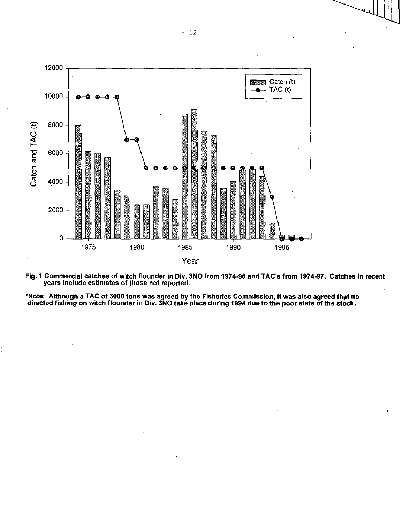

**Fig. 1 Commercial catches of witch flounder in Div. 3NO from 1974-96 and TAC's from 1974-97. Catches in recent years include estimates of those not reported.** 

**\*Note: Although a TAC of 3000 tons was agreed by the Fisheries Commission, it was also agreed that no directed fishing on witch flounder in Div. 3NO take place during 1994 due to the poor state of the stock.**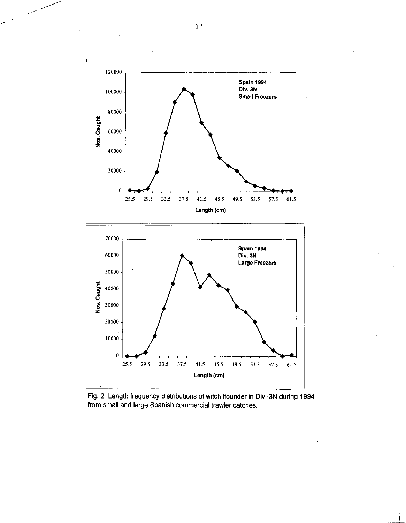

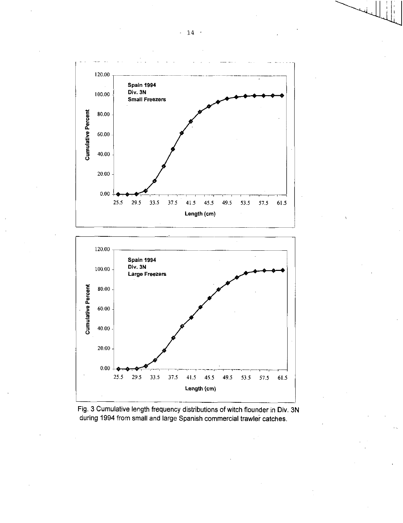

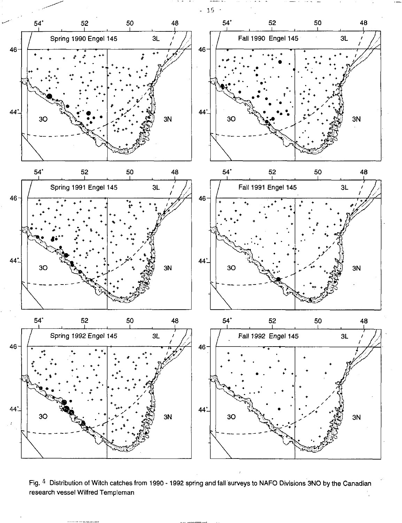

Fig.  $4$  Distribution of Witch catches from 1990 - 1992 spring and fall surveys to NAFO Divisions 3NO by the Canadian research vessel Wilfred Templeman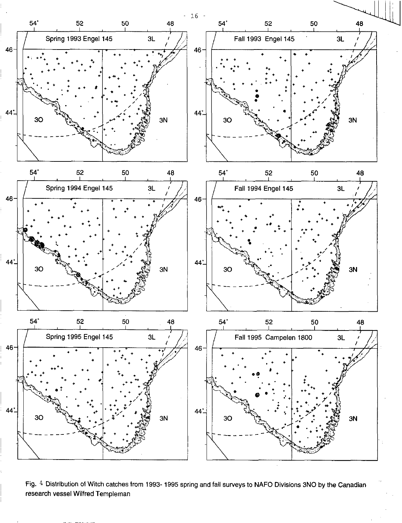

Fig. 4 Distribution of Witch catches from 1993-1995 spring and fall surveys to NAFO Divisions 3NO by the Canadian research vessel Wilfred Templeman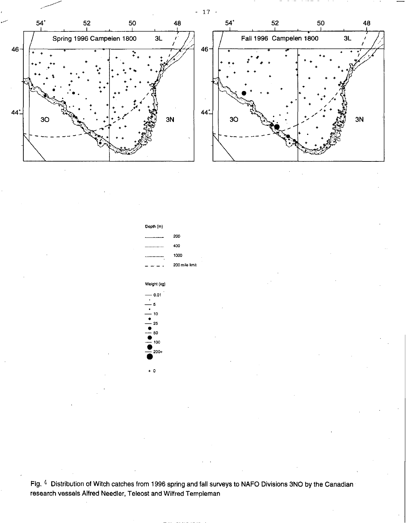

Depth (m) 200 400 1000 200 mile limit Weight (kg) — 0.01 — 5 — 10 • — 25 •  $50$ • — 100

:200+

<sup>+</sup>0

Fig, 4 Distribution of Witch catches from 1996 spring and fall surveys to NAFO Divisions 3NO by the Canadian research vessels Alfred Needier, Teleost and Wilfred Templeman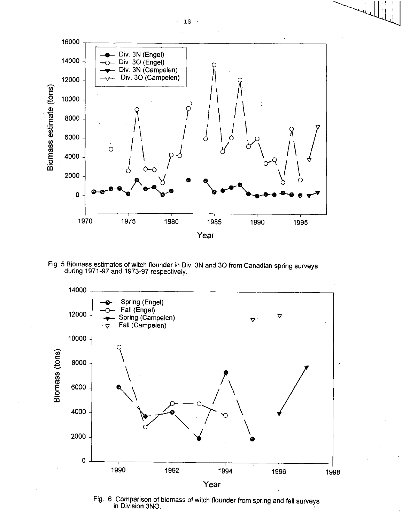

Fig. 5 Biomass estimates of witch flounder in Div. 3N and 3O from Canadian spring surveys during 1971-97 and 1973-97 respectively.



Fig. 6 Comparison of biomass of witch flounder from spring and fall surveys in Division 3NO.

 $-18 -$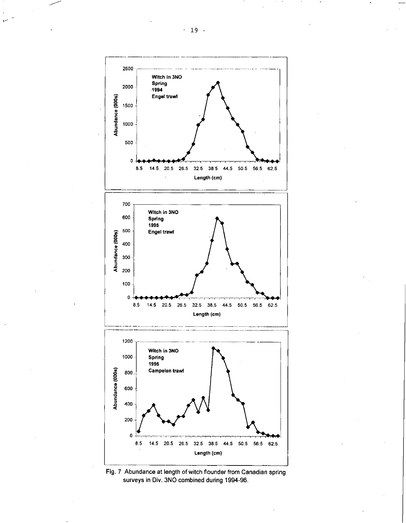



- 19 -